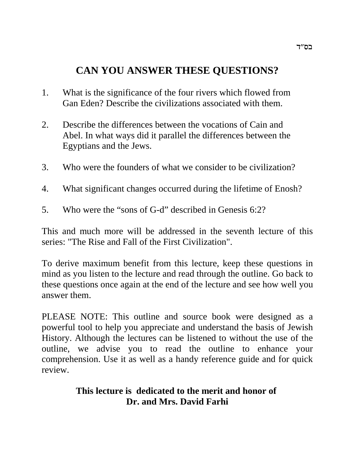# **CAN YOU ANSWER THESE QUESTIONS?**

- 1. What is the significance of the four rivers which flowed from Gan Eden? Describe the civilizations associated with them.
- 2. Describe the differences between the vocations of Cain and Abel. In what ways did it parallel the differences between the Egyptians and the Jews.
- 3. Who were the founders of what we consider to be civilization?
- 4. What significant changes occurred during the lifetime of Enosh?
- 5. Who were the "sons of G-d" described in Genesis 6:2?

This and much more will be addressed in the seventh lecture of this series: "The Rise and Fall of the First Civilization".

To derive maximum benefit from this lecture, keep these questions in mind as you listen to the lecture and read through the outline. Go back to these questions once again at the end of the lecture and see how well you answer them.

PLEASE NOTE: This outline and source book were designed as a powerful tool to help you appreciate and understand the basis of Jewish History. Although the lectures can be listened to without the use of the outline, we advise you to read the outline to enhance your comprehension. Use it as well as a handy reference guide and for quick review.

## **This lecture is dedicated to the merit and honor of Dr. and Mrs. David Farhi**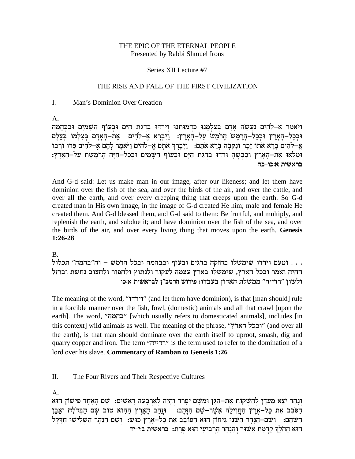#### THE EPIC OF THE ETERNAL PEOPLE Presented by Rabbi Shmuel Irons

#### Series XII Lecture #7

#### THE RISE AND FALL OF THE FIRST CIVILIZATION

#### $\mathbf{I}$ . Man's Dominion Over Creation

 $A<sub>1</sub>$ 

וַיֹּאמֵר אֵ–לֹהִים נַעֲשֶׂה אַדָם בִּצָלְמֵנוּ כִּדְמוּתֵנוּ וְיִרְדּוּ בִדְגַת הַיָּם וּבְעּוֹף הָשַּׁמַיִם וּבַבְּהֶמָה וּבְכָל–הָאֲרֵץ וּבְכָל–הָרֵמֵשׁ הָרֹמֵשׁ עַל–הָאָרֵץ: וַיִּבְרָא אֵ–לֹהִים | אֵת–הָאָדָם בִּצַלְמוֹ בִּצֵלֵם אֶ–לֹהִים בַּרָא אֹתוֹ זַכָר וּנְקֵבָה בַּרָא אֹתַם: וַיִּבְרֶךְ אֹתַם אֲ–לֹהִים וַיֹּאמֶר לַהֶם אֵ–לֹהִים פִּרוּ וּרְבוּ וּמִלְאוּ אֶת–הָאָרֶץ וְכִבְשָׁהָ וּרְדוּ בִּדְגַת הַיָּם וּבְעוֹף הַשָּׁמַיִם וּבְכָל–חַיָּה הָרֹמֶשֶׁת עַל–הָאָרֶץ: בראשית א:כו-כח

And G-d said: Let us make man in our image, after our likeness; and let them have dominion over the fish of the sea, and over the birds of the air, and over the cattle, and over all the earth, and over every creeping thing that creeps upon the earth. So G-d created man in His own image, in the image of G-d created He him; male and female He created them. And G-d blessed them, and G-d said to them: Be fruitful, and multiply, and replenish the earth, and subdue it; and have dominion over the fish of the sea, and over the birds of the air, and over every living thing that moves upon the earth. Genesis  $1:26-28$ 

#### B.

. . . וטעם וירדו שימשלו בחזקה בדגים ובעוף ובבהמה ובכל הרמש – וה"בהמה" תכלול החיה ואמר ובכל הארץ, שימשלו בארץ עצמה לעקור ולנתוץ ולחפור ולחצוב נחשת וברזל ולשון "רדייה" ממשלת האדון בעבדו: פירוש הרמב"ן לבראשית א:כו

The meaning of the word, "יירדו" (and let them have dominion), is that [man should] rule in a forcible manner over the fish, fowl, (domestic) animals and all that crawl [upon the earth]. The word, "בהמה" [which usually refers to domesticated animals], includes [in this context] wild animals as well. The meaning of the phrase, "ובכל הארץ" (and over all the earth), is that man should dominate over the earth itself to uproot, smash, dig and quarry copper and iron. The term "רדייה" is the term used to refer to the domination of a lord over his slave. Commentary of Ramban to Genesis 1:26

П. The Four Rivers and Their Respective Cultures

A.

וְנָהָר יֹצֵא מֵעֲדֵן לְהַשְׁקוֹת אֶת–הַגָּן וּמִשָּׁם יִפָּרֵד וְהָיָה לְאֲרְבָעָה רַאשִׁים: שֵׁם הָאֶחָד פִּישׁוֹן הוּא הַסֹּבֵב אֶת כָּל–אֶרֶץ הַחֲוִילָה אֲשֵׁר–שָׁם הַזָּהָב: וּזֵהַב הָאָרֵץ הַהִוא טוֹב שָׁם הַבִּדֹלַח וְאֶבֵן הַשֹּׁהַם: וְשֵׁם–הַנְּהָר הַשֵּׁנִי גִּיחוֹן הוּא הַסוֹבֵב אֵת כְּלֹ–אֶרֶץ כּוּשׁ: וְשֵׁם הַנְּהָר הַשְּׁלִישִׁי חִדֶּקֶל הוא ההלך קדמת אשור והנהר הרביעי הוא פרת: בראשית בי-יד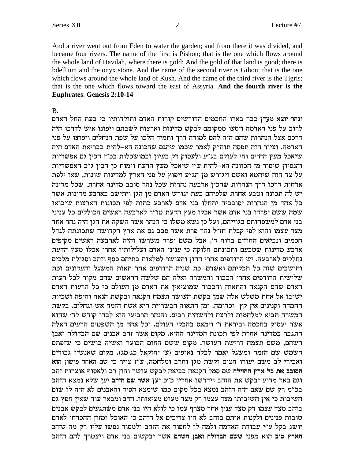And a river went out from Eden to water the garden; and from there it was divided, and became four rivers. The name of the first is Pishon; that is the one which flows around the whole land of Havilah, where there is gold; And the gold of that land is good; there is bdellium and the onyx stone. And the name of the second river is Gihon; that is the one which flows around the whole land of Kush. And the name of the third river is the Tigris; that is the one which flows toward the east of Assyria. And the fourth river is the **Euphrates. Genesis 2:10-14** 

#### $\mathbf{B}$

ונהר יוצא מעדן כבר בארו החכמים הדורשים קורות האדם ותולדותיו כי בעת החל האדם לרוב על פני האדמה ויסעו ממקומם לבקש מדינות וארצות לשבתם ויפונו איש לדרכו היה דרכם אצל הנהרות שהם היה להם למורה דרך ותמיד הלכו על שפת הנחלים ויפוצו על פני האדמה. וציור הזה תפסה תוה"ק לאמר שכמו שהגם שהכונה הא-להית בבריאת האדם היה שיאכל מעץ החיים וחי לעולם בג"ע ולעסוק רק בעיון ובמושכלות בכ"ז הכין גם אפשריות והנסיון שיסור מן הכוונה הא-להית ע"י שיאכל מעץ הדעת וימות כן הכין ג"כ האפשריות על צד הזה שיחטא ואשם ויגורש מן הג״ע ויפוץ על פני הארץ למדינות שונות, שאז ילפת ארחות דרכו דרך הנהרות שהכין ארבעה נהרות שכל נהר סובב מדינה אחרת, שכל מדינה יש לה תכונה וטבע אחרת שלפיהם בעת יגורש האדם מן הגן ויתישב בארבע מדינות אשר כל אחד מז הנהרות יסובביה יתחלו בני אדם לארבע כתות לפי תכונות הארצות שיבואו שמה ששם יפרדו בני אדם אשר אכלו מעץ הדעת טו"ר לארבעה ראשים הכוללים כל עניני בני אדם למשפחותם בגוייהם, ועל כן נשא משלו כי הנהר אשר השקה את הגן היה נהר אחד מצד עצמו והוא לפי קבלת חז"ל נהר פרת אשר סבב גם את ארץ הקדושה שתכונתה לגדל חכמים ונביאים החוזים ברוח ד׳, אבל משם יפרד משרשו והיה לארבעה ראשים מקיפים ארבע מדינות שטבעם ותכונתם חלוקה כי עניני האדם ועלילותיו אחרי אכלו מעץ הדעת נחלקים לארבעה. יש הרודפים אחרי ההון והעושר למלאות בתיהם כסף וזהב וסגולת מלכים וחושבים שזה כל תכליתם ואשרם. כת שניה הרודפים אחר תאות המשגל והעדונים וכת שלישית הרודפים אחרי הכבוד והמשרה ואלה הם שלשה הראשים שהם מקור לכל רעות האדם שהם הקנאה והתאוה והכבוד שמוציאין את האדם מן העולם כי כל הרעות האדם ישובו אל אחת משלש אלה שמן בקשת העושר תצמח הקנאה ובקשת הנאה והיפה ושכיות החמדה וקנינים אין קץ וכדומה. ומן התאוה הבשריית היא אשת הזמה אש וגחלים. בקשת המשרה תביא למלחמות ולרצח ולהשחית רבים. והנהר הרביעי הוא לבדו קודש לד׳ שהוא אשר יעסוק בחכמה וביראת ד' וימאס בהבלי העולם. וכל אחד מן השפטים הרעים האלה התגבר במדינה אחרת לפי תכונת המדינה ההיא. מקום אשר זהב אבנים שם הבדולח ואבן השהם, משם תצמח דרישת העושר. מקום ששם החום הבוער ואשיה כושים כי שזפתם השמש שם הזמה ומשגל יאמר לבלה נאופים (ע׳ יחזקאל כג:מג). מקום שאנשיו גבורים ואבירי לב משם יעורו חצים וקשת מגן וחרב ומלחמה, ע"ז צייר כי שם האחד פישון הוא הסובב את כל ארץ החוילה שם סמל הקנאה בביאה לבקש עושר והון רב ולאסוף אוצרות זהב וגם באר מדוע יבקש את הזהב וידרשו אחריו כ״כ יען אשר שם הזהב יען שלא נמצא הזהב בכ״מ רק שם שאם היה הזהב נמצא בכל מקום כמו שימצא הסיד והאבנים לא היה לו שום חשיבות כי אין חשיבותו מצד עצמו רק מצד מעוט מציאותו. וזהב ומבאר עוד שאין חפץ גם בזהב מצד עצמו רק מצד ענין אחר מצרף עמו כי לולא היו בני אדם משתגעים לבקש אבנים טובות פנינים ולקנות אותם בזהב לא היו צריכים אל הזהב כי האוכל ומזון ההכרחי לאדם יושג בקל ע"י עבודת האדמה ולמה לו לחפור את הזהב ולמסור נפשו עליו רק מה שזהב הארץ טוב הוא מפני ששם הבדולח ואבן השהם אשר יבקשום בני אדם ויצטרך להם הזהב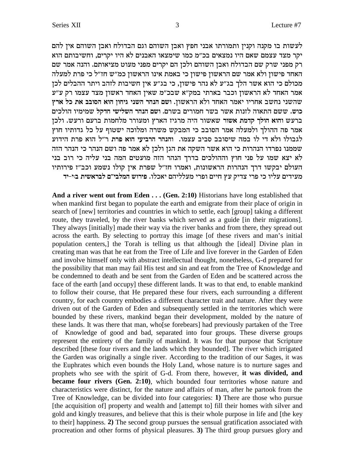לעשות בו מקנה וקנין ותמורתו אבני חפץ ואבן השוהם וגם הבדולח ואבן השוהם אין להם יקר מצד עצמם שאם היו נמצאים בכ"מ כמו שימצאו האבנים לא היו יקרים, וחשיבותם הוא .<br>רק מפני שרק שם הבדולח ואבן השוהם ולכן הם יקרים מפני מעוט מציאותם. והנה אמר שם האחד פישון ולא אמר שם הראשון פישון כי באמת אינו הראשון כמ״ש חז״ל כי פרת למעלה מכולם כי הוא אשר הלך בג״ע לא נהר פישון, כי בג״ע אין חשיבות לזהב ויתר ההבלים לכן אמר האחד לא הראשון וכבר בארתי במק"א שבכ"מ שאין האחד ראשון מצד עצמו רק ע"ע שהשני נחשב אחריו יאמר האחד ולא הראשון. ושם הנהר השני גיחון הוא הסובב את כל ארץ כוש. ששם התאוה לזנות אשר בשר חמורים בשרם. ושם הנהר השלישי חדקל שמימיו הולכים ברעש והוא הולך קדמת אשור שאשור היה מרגיז הארץ ומעורר מלחמות ברעם ורעש. ולכן .<br>אמר פה ההולך ולמעלה אמר הסובב כי המבקש משרה ומלוכה ישטוף על כל גדותיו חוץ לגבולו ולא די לו במה שיסובב סביב עצמו. והנהר הרביעי הוא פרת ר"ל הוא פרת הידוע שממנו נפרדו הנהרות כי הוא אשר השקה את הגן ולכן לא אמר פה ושם הנהר כי הנהר הזה לא יצא שמו על פני חוץ וההולכים בדרך הנהר הזה מועטים המה בני עליה כי רוב בני העולם יבקשו דרך הנהרות הראשונות, ואמרו חז"ל שפרת אין קולו נשמע וכב"ז פירותיו מעידים עליו כי פרי צדיק עץ חיים ופרי מעלליהם יאכלו. פירוש המלבי״ם לבראשית בוי-יד

And a river went out from Eden . . . (Gen. 2:10) Historians have long established that when mankind first began to populate the earth and emigrate from their place of origin in search of [new] territories and countries in which to settle, each [group] taking a different route, they traveled, by the river banks which served as a guide [in their migrations]. They always [initially] made their way via the river banks and from there, they spread out across the earth. By selecting to portray this image [of these rivers and man's initial population centers,] the Torah is telling us that although the [ideal] Divine plan in creating man was that he eat from the Tree of Life and live forever in the Garden of Eden and involve himself only with abstract intellectual thought, nonetheless, G-d prepared for the possibility that man may fail His test and sin and eat from the Tree of Knowledge and be condemned to death and be sent from the Garden of Eden and be scattered across the face of the earth [and occupy] these different lands. It was to that end, to enable mankind to follow their course, that He prepared these four rivers, each surrounding a different country, for each country embodies a different character trait and nature. After they were driven out of the Garden of Eden and subsequently settled in the territories which were bounded by these rivers, mankind began their development, molded by the nature of these lands. It was there that man, who [se forebears] had previously partaken of the Tree of Knowledge of good and bad, separated into four groups. These diverse groups represent the entirety of the family of mankind. It was for that purpose that Scripture described [these four rivers and the lands which they bounded]. The river which irrigated the Garden was originally a single river. According to the tradition of our Sages, it was the Euphrates which even bounds the Holy Land, whose nature is to nurture sages and prophets who see with the spirit of G-d. From there, however, it was divided, and became four rivers (Gen. 2:10), which bounded four territories whose nature and characteristics were distinct, for the nature and affairs of man, after he partook from the Tree of Knowledge, can be divided into four categories: 1) There are those who pursue [the acquisition of] property and wealth and [attempt to] fill their homes with silver and gold and kingly treasures, and believe that this is their whole purpose in life and [the key to their happiness. 2) The second group pursues the sensual gratification associated with procreation and other forms of physical pleasures. 3) The third group pursues glory and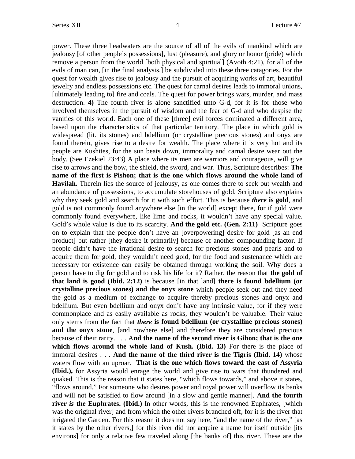power. These three headwaters are the source of all of the evils of mankind which are jealousy [of other people's possessions], lust (pleasure), and glory or honor (pride) which remove a person from the world [both physical and spiritual] (Avoth 4:21), for all of the evils of man can, [in the final analysis,] be subdivided into these three catagories. For the quest for wealth gives rise to jealousy and the pursuit of acquiring works of art, beautiful jewelry and endless possessions etc. The quest for carnal desires leads to immoral unions, [ultimately leading to] fire and coals. The quest for power brings wars, murder, and mass destruction. **4)** The fourth river is alone sanctified unto G-d, for it is for those who involved themselves in the pursuit of wisdom and the fear of G-d and who despise the vanities of this world. Each one of these [three] evil forces dominated a different area, based upon the characteristics of that particular territory. The place in which gold is widespread (lit. its stones) and bdellium (or crystalline precious stones) and onyx are found therein, gives rise to a desire for wealth. The place where it is very hot and its people are Kushites, for the sun beats down, immorality and carnal desire wear out the body. (See Ezekiel 23:43) A place where its men are warriors and courageous, will give rise to arrows and the bow, the shield, the sword, and war. Thus, Scripture describes: **The name of the first is Pishon; that is the one which flows around the whole land of Havilah.** Therein lies the source of jealousy, as one comes there to seek out wealth and an abundance of possessions, to accumulate storehouses of gold. Scripture also explains why they seek gold and search for it with such effort. This is because *there* **is gold**, and gold is not commonly found anywhere else [in the world] except there, for if gold were commonly found everywhere, like lime and rocks, it wouldn't have any special value. Gold's whole value is due to its scarcity. **And the gold etc. (Gen. 2:11)** Scripture goes on to explain that the people don't have an [overpowering] desire for gold [as an end product] but rather [they desire it primarily] because of another compounding factor. If people didn't have the irrational desire to search for precious stones and pearls and to acquire them for gold, they wouldn't need gold, for the food and sustenance which are necessary for existence can easily be obtained through working the soil. Why does a person have to dig for gold and to risk his life for it? Rather, the reason that **the gold of that land is good (Ibid. 2:12)** is because [in that land] **there is found bdellium (or crystalline precious stones) and the onyx stone** which people seek out and they need the gold as a medium of exchange to acquire thereby precious stones and onyx and bdellium. But even bdellium and onyx don't have any intrinsic value, for if they were commonplace and as easily available as rocks, they wouldn't be valuable. Their value only stems from the fact that *there* **is found bdellium (or crystalline precious stones) and the onyx stone**, [and nowhere else] and therefore they are considered precious because of their rarity. . . . A**nd the name of the second river is Gihon; that is the one which flows around the whole land of Kush. (Ibid. 13)** For there is the place of immoral desires . . . **And the name of the third river is the Tigris (Ibid. 14)** whose waters flow with an uproar. **That is the one which flows toward the east of Assyria (Ibid.),** for Assyria would enrage the world and give rise to wars that thundered and quaked. This is the reason that it states here, "which flows towards," and above it states, "flows around." For someone who desires power and royal power will overflow its banks and will not be satisfied to flow around [in a slow and gentle manner]. **And the fourth river** *is* **the Euphrates. (Ibid.)** In other words, this is the renowned Euphrates, [which was the original river] and from which the other rivers branched off, for it is the river that irrigated the Garden. For this reason it does not say here, "and the name of the river," [as it states by the other rivers,] for this river did not acquire a name for itself outside [its environs] for only a relative few traveled along [the banks of] this river. These are the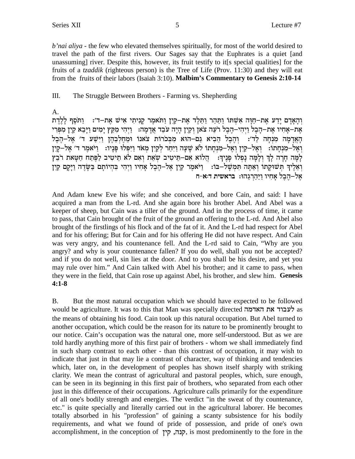*b'nai aliya* - the few who elevated themselves spiritually, for most of the world desired to travel the path of the first rivers. Our Sages say that the Euphrates is a quiet [and unassuming] river. Despite this, however, its fruit testify to it[s special qualities] for the fruits of a *tzaddik* (righteous person) is the Tree of Life (Prov. 11:30) and they will eat from the fruits of their labors (Isaiah 3:10). Malbim's Commentary to Genesis 2:10-14

#### Ш. The Struggle Between Brothers - Farming vs. Shepherding

 $A<sub>1</sub>$ 

וְהָאָדָם יָדַע אֶת-חַוָּה אִשְׁתּוֹ וַתַּהַר וַתֲלֵד אֶת-קַיִן וַתֹּאמֶר קַנִיתִי אִישׁ אֶת-ד׳: נַתֹּסֶף לַלֵדֵת אֵת–אַחִיו אֵת–הָבֵל וַיִהִי–הֶבֵל רֹעֵה צֹאן וְקַיִן הַיָּה עֹבֵד אֲדָמָה: - וַיְהִי מִקֵץ יַמְים וַיַּבֵא קַיִן מִפְּרִי הַאֲדָמָה מִנְחָה לַד׳: וְהֶבֶל הֶבִיא גַם–הוּא מִבְּכֹרוֹת צֹאנוֹ וּמֵחֲלְבֶהֶן וַיִּשָׁע ד׳ אֶל–הֶבֶל וְאֵל–מִנְחַתוֹ: וְאֵל–קֵיִן וְאֵל–מִנְחַתוֹ לֹא שַׁעַה וַיִּחַר לְקַיִן מִאֹד וַיִּפְּלוּ פַּנָיו: וַיֹּאמֶר ד׳ אֵל–קַיִן לְמָּה חָרָה לְךָ וְלָמָה נָפְלוּ פָנֶיךָ: הְלוֹא אִם–תֵּיטִיב שְאֵת וְאִם לֹא תֵיטִיב לַפֶּתַח חַטָּאת רבֵץ וְאֵלֶיךָ תִּשׁוּקָתוֹ וְאַתָּה תִּמְשָׁל-בּוֹ: וַיֹּאמֶר קַיְן אֶל-הֶבֶל אָחִיו וַיִּהִי בִּהְיוֹתָם בַּשָּׂדֶה וַיָּקָם קַיִן אל−הבל אחיו ויהרגהו: בראשית ד:א-ח

And Adam knew Eve his wife; and she conceived, and bore Cain, and said: I have acquired a man from the L-rd. And she again bore his brother Abel. And Abel was a keeper of sheep, but Cain was a tiller of the ground. And in the process of time, it came to pass, that Cain brought of the fruit of the ground an offering to the L-rd. And Abel also brought of the firstlings of his flock and of the fat of it. And the L-rd had respect for Abel and for his offering; But for Cain and for his offering He did not have respect. And Cain was very angry, and his countenance fell. And the L-rd said to Cain, "Why are you angry? and why is your countenance fallen? If you do well, shall you not be accepted? and if you do not well, sin lies at the door. And to you shall be his desire, and yet you may rule over him." And Cain talked with Abel his brother; and it came to pass, when they were in the field, that Cain rose up against Abel, his brother, and slew him. Genesis  $4:1-8$ 

But the most natural occupation which we should have expected to be followed **B.** would be agriculture. It was to this that Man was specially directed לעבוד את האדמה the means of obtaining his food. Cain took up this natural occupation. But Abel turned to another occupation, which could be the reason for its nature to be prominently brought to our notice. Cain's occupation was the natural one, more self-understood. But as we are told hardly anything more of this first pair of brothers - whom we shall immediately find in such sharp contrast to each other - than this contrast of occupation, it may wish to indicate that just in that may lie a contrast of character, way of thinking and tendencies which, later on, in the development of peoples has shown itself sharply with striking clarity. We mean the contrast of agricultural and pastoral peoples, which, sure enough, can be seen in its beginning in this first pair of brothers, who separated from each other just in this difference of their occupations. Agriculture calls primarily for the expenditure of all one's bodily strength and energies. The verdict "in the sweat of thy countenance, etc." is quite specially and literally carried out in the agricultural laborer. He becomes totally absorbed in his "profession" of gaining a scanty subsistence for his bodily requirements, and what we found of pride of possession, and pride of one's own accomplishment, in the conception of קנה, קין, is most predominently to the fore in the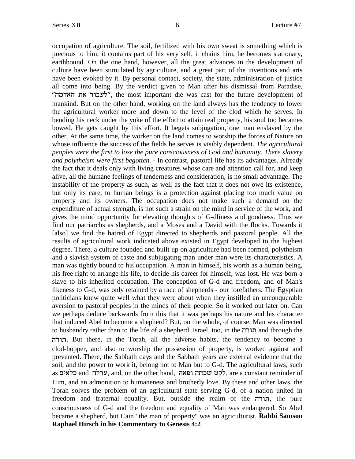occupation of agriculture. The soil, fertilized with his own sweat is something which is precious to him, it contains part of his very self, it chains him, he becomes stationary, earthbound. On the one hand, however, all the great advances in the development of culture have been stimulated by agriculture, and a great part of the inventions and arts have been evoked by it. By personal contact, society, the state, administration of justice all come into being. By the verdict given to Man after his dismissal from Paradise, "לעבוד את האדמה", the most important die was cast for the future development of mankind. But on the other hand, working on the land always has the tendency to lower the agricultural worker more and down to the level of the clod which he serves. In bending his neck under the yoke of the effort to attain real property, his soul too becames bowed. He gets caught by this effort. It begets subjugation, one man enslaved by the other. At the same time, the worker on the land comes to worship the forces of Nature on whose influence the success of the fields he serves is visibly dependent. *The agricultural peoples were the first to lose the pure consciousness of God and humanity. There slavery and polytheism were first begotten.* - In contrast, pastoral life has its advantages. Already the fact that it deals only with living creatures whose care and attention call for, and keep alive, all the humane feelings of tenderness and consideration, is no small advantage. The instability of the property as such, as well as the fact that it does not owe its existence, but only its care, to human beings is a protection against placing too much value on property and its owners. The occupation does not make such a demand on the expenditure of actual strength, is not such a strain on the mind in service of the work, and gives the mind opportunity for elevating thoughts of G-dliness and goodness. Thus we find our patriarchs as shepherds, and a Moses and a David with the flocks. Towards it [also] we find the hatred of Egypt directed to shepherds and pastoral people. All the results of agricultural work indicated above existed in Egypt developed to the highest degree. There, a culture founded and built up on agriculture had been formed, polytheism and a slavish system of caste and subjugating man under man were its characteristics. A man was tightly bound to his occupation. A man in himself, his worth as a human being, his free right to arrange his life, to decide his career for himself, was lost. He was born a slave to his inherited occupation. The conception of G-d and freedom, and of Man's likeness to G-d, was only retained by a race of shepherds - our forefathers. The Egyptian politicians knew quite well what they were about when they instilled an unconquerable aversion to pastoral peoples in the minds of their people. So it worked out later on. Can we perhaps deduce backwards from this that it was perhaps his nature and his character that induced Abel to become a shepherd? But, on the whole, of course, Man was directed to husbandry rather than to the life of a shepherd. Israel, too, in the תורה dxez. But there, in the Torah, all the adverse habits, the tendency to become a clod-hopper, and also to worship the possession of property, is worked against and prevented. There, the Sabbath days and the Sabbath years are external evidence that the soil, and the power to work it, belong not to Man but to G-d. The agricultural laws, such as שלאים, and, on the other hand, לקט שכחה ופאה למט, are a constant reminder of Him, and an admonition to humaneness and brotherly love. By these and other laws, the Torah solves the problem of an agricultural state serving G-d, of a nation united in freedom and fraternal equality. But, outside the realm of the nure, the pure consciousness of G-d and the freedom and equality of Man was endangered. So Abel became a shepherd, but Cain "the man of property" was an agriculturist. **Rabbi Samson Raphael Hirsch in his Commentary to Genesis 4:2**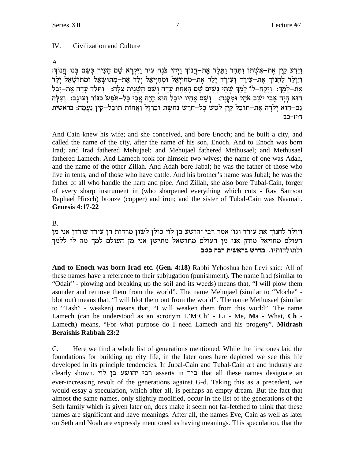#### $IV.$ Civilization and Culture

 $A<sub>1</sub>$ 

וַיַּדַע קַיַן אַת–אַשָׁתּוֹ וַתַּהָר וַתַּלֵד אַת–חֲנוֹךְ וַיְהִי בֹּנֵה עִיר וַיִּקְרָא שֵׁם הַעִיר כִּשֵׁם בְּנוֹ חֲנוֹךְ: וַיִּוּלֵד לַחֲנוֹךְ אֶת–עִירַד וְעִירַד יַלֵד אֶת–מַחוּיַאֵל וּמְחִיַּיאֵל יַלַד אֶת–מִתוּשָׁאֵל וּמִתוּשָׁאֵל יַלַד אַת–לַמֵר: וַיִּקַח–לוֹ לִמֵרְ שִׁתִּי נַשִּׁים שֵׁם הַאַחַת עַדָה וֹשֵׁם הַשֵּׁנִית צַלָּה: וַתְּלֶד עַדָה אַת–יַבַל הוא היה אבי ישב אהל ומקנה: נשם אחיו יובל הוא היה אבי כל–חפש כנור ועוגב: וצלה גַם–הִוֹא יַלְדָה אֶת–תּוּבַל קַיְן לֹטֵשׁ כָּל–חֹרֵשׁ נְחֹשֶׁת וּבַרְיָל וַאֲחוֹת תּוּבַל–קַיְן נַעֲמָה: בראשית ד:יז-כב

And Cain knew his wife; and she conceived, and bore Enoch; and he built a city, and called the name of the city, after the name of his son, Enoch. And to Enoch was born Irad; and Irad fathered Mehujael; and Mehujael fathered Methusael; and Methusael fathered Lamech. And Lamech took for himself two wives; the name of one was Adah, and the name of the other Zillah. And Adah bore Jabal: he was the father of those who live in tents, and of those who have cattle. And his brother's name was Jubal; he was the father of all who handle the harp and pipe. And Zillah, she also bore Tubal-Cain, forger of every sharp instrument in (who sharpened everything which cuts - Rav Samson Raphael Hirsch) bronze (copper) and iron; and the sister of Tubal-Cain was Naamah. **Genesis 4:17-22** 

### **B.**

ויולד לחנוך את עירד וגו' אמר רבי יהושע בן לוי כולן לשון מרדות הן עירד עורדן אני מן העולם מחויאל מוחז אני מז העולם מתושאל מתישז אני מז העולם למד מה לי ללמד ולתולדותיו. מדרש בראשית רבה כג:ב

And to Enoch was born Irad etc. (Gen. 4:18) Rabbi Yehoshua ben Levi said: All of these names have a reference to their subjugation (punishment). The name Irad (similar to "Odair" - plowing and breaking up the soil and its weeds) means that, "I will plow them asunder and remove them from the world". The name Mehujael (similar to "Moche" blot out) means that, "I will blot them out from the world". The name Methusael (similar to "Tash" - weaken) means that, "I will weaken them from this world". The name Lamech (can be understood as an acronym L'M'Ch' - Li - Me, Ma - What, Ch -Lamech) means, "For what purpose do I need Lamech and his progeny". Midrash **Beraishis Rabbah 23:2** 

 $C_{\cdot}$ Here we find a whole list of generations mentioned. While the first ones laid the foundations for building up city life, in the later ones here depicted we see this life developed in its principle tendencies. In Jubal-Cain and Tubal-Cain art and industry are clearly shown. רבי יהושע בן לוי asserts in ב"ר that all these names designate an ever-increasing revolt of the generations against G-d. Taking this as a precedent, we would essay a speculation, which after all, is perhaps an empty dream. But the fact that almost the same names, only slightly modified, occur in the list of the generations of the Seth family which is given later on, does make it seem not far-fetched to think that these names are significant and have meanings. After all, the names Eve, Cain as well as later on Seth and Noah are expressly mentioned as having meanings. This speculation, that the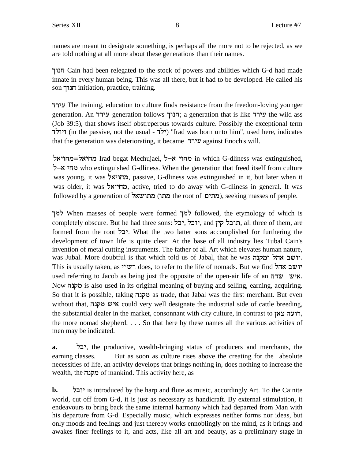names are meant to designate something, is perhaps all the more not to be rejected, as we are told nothing at all more about these generations than their names.

jepg Cain had been relegated to the stock of powers and abilities which G-d had made innate in every human being. This was all there, but it had to be developed. He called his son הנוך initiation, practice, training.

cxir The training, education to culture finds resistance from the freedom-loving younger generation. An עירד generation follows ועירד; a generation that is like vild ass (Job 39:5), that shows itself obstreperous towards culture. Possibly the exceptional term ייולד (in the passive, not the usual - ילד) "Irad was born unto him", used here, indicates that the generation was deteriorating, it became עירד against Enoch's will.

ולה Irad begat Mechujael, מחוי א-ל $\geq$  in which G-dliness was extinguished, לחי א-ל $\star$  who extinguished G-dliness. When the generation that freed itself from culture was young, it was **ומחויאל,** passive, G-dliness was extinguished in it, but later when it was older, it was מחייאל, active, tried to do away with G-dliness in general. It was followed by a generation of מתו) מתוח the root of (מתים), seeking masses of people.

jnl When masses of people were formed jnl followed, the etymology of which is completely obscure. But he had three sons: יובל, יבל, and נתובל קין, all three of them, are formed from the root "יבל. What the two latter sons accomplished for furthering the development of town life is quite clear. At the base of all industry lies Tubal Cain's invention of metal cutting instruments. The father of all Art which elevates human nature, was Jubal. More doubtful is that which told us of Jabal, that he was יושב אהל ומקנה. This is usually taken, as יושב אהל does, to refer to the life of nomads. But we find יושב used referring to Jacob as being just the opposite of the open-air life of an  $\pi \nu \nu$ . Now מקנה is also used in its original meaning of buying and selling, earning, acquiring. So that it is possible, taking מקנה as trade, that Jabal was the first merchant. But even without that, איש מקנה could very well designate the industrial side of cattle breeding, the substantial dealer in the market, consonnant with city culture, in contrast to  $\gamma x$ , the more nomad shepherd. . . . So that here by these names all the various activities of men may be indicated.

**a.** lai, the productive, wealth-bringing status of producers and merchants, the earning classes. But as soon as culture rises above the creating for the absolute necessities of life, an activity develops that brings nothing in, does nothing to increase the wealth, the מקנה of mankind. This activity here, as

**b.** laei is introduced by the harp and flute as music, accordingly Art. To the Cainite world, cut off from G-d, it is just as necessary as handicraft. By external stimulation, it endeavours to bring back the same internal harmony which had departed from Man with his departure from G-d. Especially music, which expresses neither forms nor ideas, but only moods and feelings and just thereby works ennoblingly on the mind, as it brings and awakes finer feelings to it, and acts, like all art and beauty, as a preliminary stage in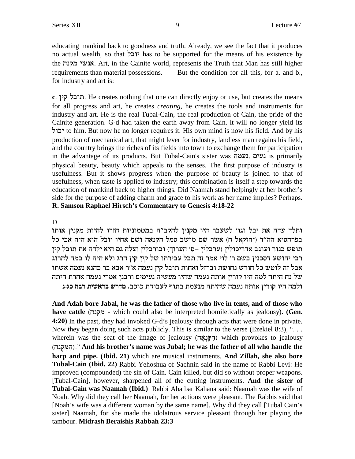educating mankind back to goodness and truth. Already, we see the fact that it produces no actual wealth, so that יובל has to be supported for the means of his existence by the אנשי מקנה. Art, in the Cainite world, represents the Truth that Man has still higher requirements than material possessions. But the condition for all this, for a. and b., for industry and art is:

c. חובל קין. He creates nothing that one can directly enjoy or use, but creates the means for all progress and art, he creates *creating*, he creates the tools and instruments for industry and art. He is the real Tubal-Cain, the real production of Cain, the pride of the Cainite generation. G-d had taken the earth away from Cain. It will no longer yield its to him. But now he no longer requires it. His own mind is now his field. And by his production of mechanical art, that might lever for industry, landless man regains his field, and the country brings the riches of its fields into town to exchange them for participation in the advantage of its products. But Tubal-Cain's sister was נעים. נעמה is primarily physical beauty, beauty which appeals to the senses. The first purpose of industry is usefulness. But it shows progress when the purpose of beauty is joined to that of usefulness, when taste is applied to industry; this combination is itself a step towards the education of mankind back to higher things. Did Naamah stand helpingly at her brother's side for the purpose of adding charm and grace to his work as her name implies? Perhaps. R. Samson Raphael Hirsch's Commentary to Genesis 4:18-22

### D.

ותלד עדה את יבל וגו׳ לשעבר היו מקנין להקב״ה במטמוניות חזרו להיות מקנין אותו בפרהסיא הה"ד (יחזקאל ח) אשר שם מושב סמל הקנאה ושם אחיו יובל הוא היה אבי כל תופש כנור ועוגב אדריכולין (ערבלין –ס׳ הערוך) ובורבלין וצלה גם היא ילדה את תובל קין רבי יהושע דסכנין בשם ר' לוי אמר זה תבל עבירתו של קין קין הרג ולא היה לו במה להרוג אבל זה לוטש כל חורש נחושת וברזל ואחות תובל קין נעמה א״ר אבא בר כהנא נעמה אשתו של נח היתה למה היו קורין אותה נעמה שהיו מעשיה נעימים ורבנן אמרי נעמה אחרת היתה ולמה היו קורין אותה נעמה שהיתה מנעמת בתוף לעבודת כוכב. מדרש בראשית רבה כג:ג

And Adah bore Jabal, he was the father of those who live in tents, and of those who have cattle (מקנה which could also be interpreted homiletically as jealousy). (Gen. 4:20) In the past, they had invoked G-d's jealousy through acts that were done in private. Now they began doing such acts publicly. This is similar to the verse (Ezekiel 8:3), " $\dots$ wherein was the seat of the image of jealousy (הַקְּנָאֲה) which provokes to jealousy המקנה)." And his brother's name was Jubal; he was the father of all who handle the harp and pipe. (Ibid. 21) which are musical instruments. And Zillah, she also bore Tubal-Cain (Ibid. 22) Rabbi Yehoshua of Sachnin said in the name of Rabbi Levi: He improved (compounded) the sin of Cain. Cain killed, but did so without proper weapons. [Tubal-Cain], however, sharpened all of the cutting instruments. And the sister of Tubal-Cain was Naamah (Ibid.) Rabbi Aba bar Kahana said: Naamah was the wife of Noah. Why did they call her Naamah, for her actions were pleasant. The Rabbis said that [Noah's wife was a different woman by the same name]. Why did they call [Tubal Cain's sister] Naamah, for she made the idolatrous service pleasant through her playing the tambour. Midrash Beraishis Rabbah 23:3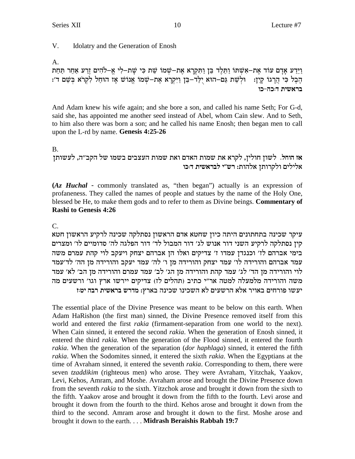$V_{\cdot}$ Idolatry and the Generation of Enosh

 $A_{1}$ 

וַיֵּדַע אָדָם עוֹד אֶת-אִשָּׁתּוֹ וַתֵּלֵד בֵּן וַתִּקְרָא אֶת-שִׁמוֹ שֵׁת כִּי שַׁת-לִי אֱ-לֹהִים זֶרַע אָחֶר תַּחַת וּלְשֵׁת גַם–הוּא יִלַּד–בֵּן וַיִּקְרָא אַת–שמו אֲנוֹש אַז הוּחַל לְקְרֹא בִּשֵׁם ד׳: הבל כי הרגוֹ קין: בראשית דוכה-כו

And Adam knew his wife again; and she bore a son, and called his name Seth; For G-d, said she, has appointed me another seed instead of Abel, whom Cain slew. And to Seth, to him also there was born a son; and he called his name Enosh; then began men to call upon the L-rd by name. Genesis 4:25-26

### **B.**

אז הוחל. לשון חולין, לקרא את שמות האדם ואת שמות העצבים בשמו של הקב"ה, לעשותן אלילים ולקרותן אלהות: רש״י לבראשית דוכו

(Az Huchal - commonly translated as, "then began") actually is an expression of profaneness. They called the names of people and statues by the name of the Holy One, blessed be He, to make them gods and to refer to them as Divine beings. Commentary of **Rashi to Genesis 4:26** 

 $C_{\cdot}$ 

עיקר שכינה בתחתונים היתה כיון שחטא אדם הראשון נסתלקה שכינה לרקיע הראשון חטא קין נסתלקה לרקיע השני דור אנוש לג׳ דור המבול לד׳ דור הפלגה לה׳ סדומיים לו׳ ומצרים בימי אברהם לז' וכנגדן עמדו ז' צדיקים ואלו הן אברהם יצחק ויעקב לוי קהת עמרם משה עמד אברהם והורידה לו׳ עמד יצחק והורידה מן ו׳ לה׳ עמד יעקב והורידה מן הה׳ לד׳עמד לוי והורידה מן הד׳ לג׳ עמד קהת והורידה מן הג׳ לב׳ עמד עמרם והורידה מן הב׳ לא׳ עמד משה והורידה מלמעלה למטה אר"י כתיב (תהלים לז) צדיקים יירשו ארץ וגו' ורשעים מה יעשו פורחים באויר אלא הרשעים לא השכינו שכינה בארץ: מדרש בראשית רבה יטוז

The essential place of the Divine Presence was meant to be below on this earth. When Adam HaRishon (the first man) sinned, the Divine Presence removed itself from this world and entered the first *rakia* (firmament-separation from one world to the next). When Cain sinned, it entered the second *rakia*. When the generation of Enosh sinned, it entered the third *rakia*. When the generation of the Flood sinned, it entered the fourth *rakia*. When the generation of the separation *(dor haphlaga)* sinned, it entered the fifth *rakia*. When the Sodomites sinned, it entered the sixth *rakia*. When the Egyptians at the time of Avraham sinned, it entered the seventh *rakia*. Corresponding to them, there were seven tzaddikim (righteous men) who arose. They were Avraham, Yitzchak, Yaakov, Levi, Kehos, Amram, and Moshe. Avraham arose and brought the Divine Presence down from the seventh *rakia* to the sixth. Yitzchok arose and brought it down from the sixth to the fifth. Yaakov arose and brought it down from the fifth to the fourth. Levi arose and brought it down from the fourth to the third. Kehos arose and brought it down from the third to the second. Amram arose and brought it down to the first. Moshe arose and brought it down to the earth. . . . Midrash Beraishis Rabbah 19:7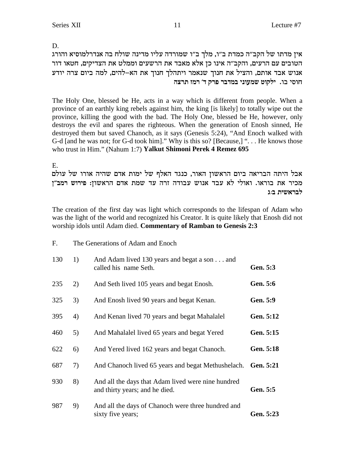D.

אין מדתו של הקב״ה כמדת ב״ו, מלך ב״ו שמורדה עליו מדינה שולח בה אנדרלמוסיא והורג הטובים עם הרעים, והקב״ה אינו כן אלא מאבד את הרשעים וממלט את הצדיקים, חטאו דור אנוש אבד אותם, והציל את חנוך שנאמר ויתהלך חנוך את הא–להים, למה ביום צרה יודע חוסי בו. ילקוט שמעוני במדבר פרק ד׳ רמז תרצה

The Holy One, blessed be He, acts in a way which is different from people. When a province of an earthly king rebels against him, the king [is likely] to totally wipe out the province, killing the good with the bad. The Holy One, blessed be He, however, only destroys the evil and spares the righteous. When the generation of Enosh sinned, He destroyed them but saved Chanoch, as it says (Genesis 5:24), "And Enoch walked with G-d [and he was not; for G-d took him]." Why is this so? [Because,] "... He knows those who trust in Him." (Nahum 1:7) Yalkut Shimoni Perek 4 Remez 695

E.

אבל היתה הבריאה ביום הראשון האור, כנגד האלף של ימות אדם שהיה אורו של עולם מכיר את בוראו. ואולי לא עבד אנוש עבודה זרה עד שמת אדם הראשון: פירוש רמב"ן לבראשית ב:ג

The creation of the first day was light which corresponds to the lifespan of Adam who was the light of the world and recognized his Creator. It is quite likely that Enosh did not worship idols until Adam died. Commentary of Ramban to Genesis 2:3

| F.  | The Generations of Adam and Enoch |                                                                                      |                 |
|-----|-----------------------------------|--------------------------------------------------------------------------------------|-----------------|
| 130 | 1)                                | And Adam lived 130 years and begat a son and<br>called his name Seth.                | Gen. 5:3        |
| 235 | 2)                                | And Seth lived 105 years and begat Enosh.                                            | <b>Gen.</b> 5:6 |
| 325 | 3)                                | And Enosh lived 90 years and begat Kenan.                                            | Gen. 5:9        |
| 395 | 4)                                | And Kenan lived 70 years and begat Mahalalel                                         | Gen. 5:12       |
| 460 | 5)                                | And Mahalalel lived 65 years and begat Yered                                         | Gen. 5:15       |
| 622 | 6)                                | And Yered lived 162 years and begat Chanoch.                                         | Gen. 5:18       |
| 687 | 7)                                | And Chanoch lived 65 years and begat Methushelach.                                   | Gen. 5:21       |
| 930 | 8)                                | And all the days that Adam lived were nine hundred<br>and thirty years; and he died. | Gen. 5:5        |
| 987 | 9)                                | And all the days of Chanoch were three hundred and<br>sixty five years;              | Gen. 5:23       |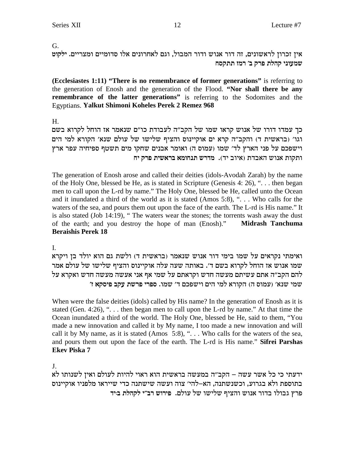#### G.

אין זכרון לראשונים, זה דור אנוש ודור המבול, וגם לאחרונים אלו סדומיים ומצריים. ילקוט שמעוני קהלת פרק ב׳ רמז תתקסח

(Ecclesiastes 1:11) "There is no remembrance of former generations" is referring to the generation of Enosh and the generation of the Flood. "Nor shall there be any remembrance of the latter generations" is referring to the Sodomites and the **Egyptians. Yalkut Shimoni Koheles Perek 2 Remez 968** 

 $H_{\cdot}$ 

כך עמדו דורו של אנוש קראו שמו של הקב"ה לעבודת כו"ם שנאמר אז הוחל לקרוא בשם וגו' (בראשית ד) והקב"ה קרא ים אוקיינוס והציף שלישו של עולם שנא' הקורא למי הים וישפכם על פני הארץ לד׳ שמו (עמוס ה) ואומר אבנים שחקו מים תשטף ספיחיה עפר ארץ ותקות אנוש האבדת (איוב יד). מדרש תנחומא בראשית פרק יח

The generation of Enosh arose and called their deities (idols-Avodah Zarah) by the name of the Holy One, blessed be He, as is stated in Scripture (Genesis 4: 26), "... then began men to call upon the L-rd by name." The Holy One, blessed be He, called unto the Ocean and it inundated a third of the world as it is stated (Amos 5:8), "... Who calls for the waters of the sea, and pours them out upon the face of the earth. The L-rd is His name." It is also stated (Job 14:19), "The waters wear the stones; the torrents wash away the dust of the earth; and you destroy the hope of man (Enosh)." Midrash Tanchuma **Beraishis Perek 18** 

L.

ואימתי נקראים על שמו בימי דור אנוש שנאמר (בראשית ד) ולשת גם הוא יולד בן ויקרא שמו אנוש אז הוחל לקרוא בשם ד׳. באותה שעה עלה אוקיינוס והציף שלישו של עולם אמר להם הקב"ה אתם עשיתם מעשה חדש וקראתם על שמי אף אני אעשה מעשה חדש ואקרא על שמי שנא' (עמוס ה) הקורא למי הים וישפכם ד' שמו. ספרי פרשת עקב פיסקא ז'

When were the false deities (idols) called by His name? In the generation of Enosh as it is stated (Gen. 4:26), " $\ldots$  then began men to call upon the L-rd by name." At that time the Ocean inundated a third of the world. The Holy One, blessed be He, said to them, "You made a new innovation and called it by My name, I too made a new innovation and will call it by My name, as it is stated (Amos 5:8), "... Who calls for the waters of the sea, and pours them out upon the face of the earth. The L-rd is His name." Sifrei Parshas **Ekev Piska 7** 

J.

ידעתי כי כל אשר עשה – הקב"ה במעשה בראשית הוא ראוי להיות לעולם ואין לשנותו לא בתוספת ולא בגרוע, וכשנשתנה, הא–להי׳ צוה ועשה שישתנה כדי שייראו מלפניו אוקיינוס פרץ גבולו בדור אנוש והציף שלישו של עולם. פירוש רב״י לקהלת ביד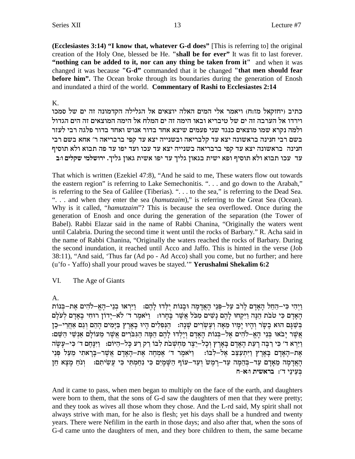**(Ecclesiastes 3:14) "I know that, whatever G-d does"**[This is referring to] the original creation of the Holy One, blessed be He. **"shall be for ever"**It was fit to last forever. **"nothing can be added to it, nor can any thing be taken from it"** and when it was changed it was because **"G-d"**commanded that it be changed **"that men should fear before him".** The Ocean broke through its boundaries during the generation of Enosh and inundated a third of the world. **Commentary of Rashi to Ecclesiastes 2:14**

#### K.

כתיב (יחזקאל מז:ח) ויאמר אלי המים האלה יוצאים אל הגלילה הקדמונה זה ים של סמכו lech וירדו אל הערבה זה ים של טיבריא ובאו הימה זה ים המלח אל הימה אמוצאים זה הים הגדול ולמה נקרא שמו מוצאים כנגד שני פעמים שיצא אחד בדור אנוש ואחד בדור פלגה רבי לעזר בשם רבי חנינה בראשונה יצא עד קלבריאה ובשנייה יצא עד קפי ברבריאה ר' אחא בשם רבי חנינה בראשונה יצא עד קפי ברבריאה בשנייה יצא עד עכו ועד יפו עד פה תבוא ולא תוסיף עד עכו תבוא ולא תוסיף ופא ישית בגאון גליך עד יפו אשית גאון גליך. ירושלמי שקלים ו:ב

That which is written (Ezekiel 47:8), "And he said to me, These waters flow out towards the eastern region" is referring to Lake Semechonitis. ". . . and go down to the Arabah," is referring to the Sea of Galilee (Tiberias). ". . . to the sea," is referring to the Dead Sea. ". . . and when they enter the sea (*hamutzaim*)," is referring to the Great Sea (Ocean). Why is it called, "*hamutzaim*"? This is because the sea overflowed. Once during the generation of Enosh and once during the generation of the separation (the Tower of Babel). Rabbi Elazar said in the name of Rabbi Chanina, "Originally the waters went until Calabria. During the second time it went until the rocks of Barbary." R. Acha said in the name of Rabbi Chanina, "Originally the waters reached the rocks of Barbary. During the second inundation, it reached until Acco and Jaffo. This is hinted in the verse (Job 38:11), "And said, 'Thus far (Ad po - Ad Acco) shall you come, but no further; and here (u'fo - Yaffo) shall your proud waves be stayed.'"**Yerushalmi Shekalim 6:2**

### VI. The Age of Giants

### A.

<u>ויהי כּי−החל האדם לרב על−פני האדמה ובנות ילדו להם: ⊥ויראו בני−הא</u>−להים את−בנות האדם כי טבת הנה ויקחו להם נשים מכל אשר בחרו: πואמר ד׳ לא−ידון רוחי באדם לעלם בְּשֵׁגַּם הוּא בָשֵׂר וָהִיוּ יָמַיו מֵאָה וְעֵשׂרִים שַׁנַה: ) הַנִּפְלִים הַיוּ בַאֲרֶץ בַּיָּמִים הַהֵם וְגַם אַחֲרִי–כֶן :שְׁשֶׁר יָבֹאוּ בְּנֵי הָאֵ–לֹהִים אֶל–בְּנוֹת הָאַדַם וְיַלְדוּ לָהֶם הֶמָּה הַגְּבֹרִים אֲשֶׁר מֵעוֹלַם אַנְשֵׁי הַשֵּׁם וַיַּרְא ד׳ כִּי רַבְה רָעַת הָאָדָם בְּאָרֶץ וְכָל–יֵצֶר מַחִשְׁבֹת לְבּוֹ רַק רַע כָּל–הַיּוֹם: [יִנָּחֵם ד׳ כִּי–עַשַׂה אַת−הַאַדַם בַּאֲרֵץ וַיִּתְעַצֵּב אֵל−לְבּוֹ: ⊥וַיֹּאמֶר ד׳ אֵמְחֶה אֵת−הַאַדַם אֲשֶׁר−בַּרָאתִי מֵעַל פִּנֵי הָאֲדָמָה מֵאָדָם עַד−בְּהֵמְה עַד−רֶמֶשׂ וְעַד−עוֹף הַשָּׁמְיִם כִּי נְחַמְתִּי כִּי עֲשִׂיתִם: [וֹנֹחַ מְצָא חֵן **בעיני ד׳: בראשית ו:א**−ח

And it came to pass, when men began to multiply on the face of the earth, and daughters were born to them, that the sons of G-d saw the daughters of men that they were pretty; and they took as wives all those whom they chose. And the L-rd said, My spirit shall not always strive with man, for he also is flesh; yet his days shall be a hundred and twenty years. There were Nefilim in the earth in those days; and also after that, when the sons of G-d came unto the daughters of men, and they bore children to them, the same became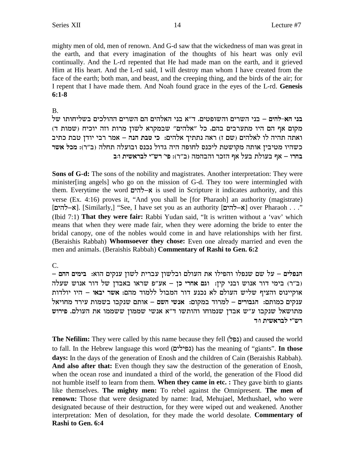mighty men of old, men of renown. And G-d saw that the wickedness of man was great in the earth, and that every imagination of the thoughts of his heart was only evil continually. And the L-rd repented that He had made man on the earth, and it grieved Him at His heart. And the L-rd said, I will destroy man whom I have created from the face of the earth; both man, and beast, and the creeping thing, and the birds of the air; for I repent that I have made them. And Noah found grace in the eyes of the L-rd. Genesis  $6:1-8$ 

### $\mathbf{B}$

בני הא-להים – בני השרים והשופטים. ד"א בני האלהים הם השרים ההולכים בשליחותו של מקום אף הם היו מתערבים בהם. כל "אלהים" שבמקרא לשון מרות וזה יוכיח (שמות ד) ואתה תהיה לו לאלהים (שם ז) ראה נתתיך אלהים: כי טבת הנה – אמר רבי יודן טבת כתיב כשהיו מטיבין אותה מקושטת ליכנס לחופה היה גדול נכנס ובועלה תחלה (ב"ר): מכל אשר בחרו – אף בעולת בעל אף הזכר והבהמה (ב״ר): פי׳ רש״י לבראשית וּב

Sons of G-d: The sons of the nobility and magistrates. Another interpretation: They were minister [ing angels] who go on the mission of G-d. They too were intermingled with them. Everytime the word א-להים is used in Scripture it indicates authority, and this verse (Ex. 4:16) proves it, "And you shall be [for Pharaoh] an authority (magistrate) ". . . over Pharaoh | א–להים] Similarly,] "See, I have set you as an authority" (א–להים] . . . (Ibid 7:1) That they were fair: Rabbi Yudan said, "It is written without a 'vav' which means that when they were made fair, when they were adorning the bride to enter the bridal canopy, one of the nobles would come in and have relationships with her first. (Beraishis Rabbah) Whomsoever they chose: Even one already married and even the men and animals. (Beraishis Rabbah) Commentary of Rashi to Gen. 6:2

#### $C_{\cdot}$

הנפלים – על שם שנפלו והפילו את העולם ובלשון עברית לשון ענקים הוא: בימים ההם – וב"ר) בימי דור אנוש ובני קין: וגם אחרי כן – אע"פ שראו באבדן של דור אנוש שעלה אוקיינוס והציף שליש העולם לא נכנע דור המבול ללמוד מהם: אשר יבאו – היו יולדות ענקים כמותם: הגבורים – למרוד במקום: אנשי השם – אותם שנקבו בשמות עירד מחויאל מתושאל שנקבו ע"ש אבדן שנמוחו והותשו ד"א אנשי שממון ששממו את העולם. פירוש רש״י לבראשית ו:ד

**The Nefilim:** They were called by this name because they fell (נפל) and caused the world to fall. In the Hebrew language this word (נפילים) has the meaning of "giants". In those days: In the days of the generation of Enosh and the children of Cain (Beraishis Rabbah). And also after that: Even though they saw the destruction of the generation of Enosh, when the ocean rose and inundated a third of the world, the generation of the Flood did not humble itself to learn from them. When they came in etc. : They gave birth to giants like themselves. The mighty men: To rebel against the Omnipresent. The men of renown: Those that were designated by name: Irad, Mehujael, Methushael, who were designated because of their destruction, for they were wiped out and weakened. Another interpretation: Men of desolation, for they made the world desolate. Commentary of Rashi to Gen. 6:4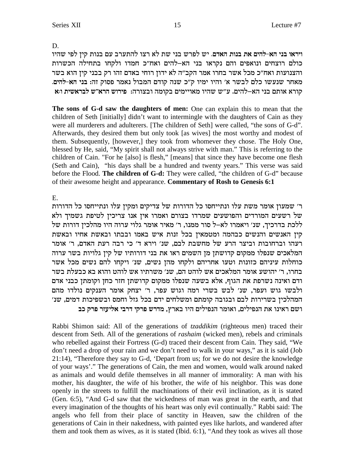D.

ויראו בני הא-להים את בנות האדם. יש לפרש בני שת לא רצו להתערב עם בנות קין לפי שהיו כולם רוצחים ונואפים והם נקראו בני הא-להים ואח"כ חמדו ולקחו בתחילה הכשרות והצנועות ואח״כ מכל אשר בחרו אמר הקב״ה לא ידון רוחי באדם זהו רק בבני קין הוא בשר מאחר שנעשו כלם לבשר א׳ והיו ימיו ק״כ שנה קודם המבול נאמר פסוק זה: בני הא-להים. יא הרא"ש לבראשית האלהים. היש היין המאויימים בקומה ובצורה: פירוש הרא"ש לבראשית הא

The sons of G-d saw the daughters of men: One can explain this to mean that the children of Seth [initially] didn't want to intermingle with the daughters of Cain as they were all murderers and adulterers. [The children of Seth] were called, "the sons of G-d". Afterwards, they desired them but only took [as wives] the most worthy and modest of them. Subsequently, [however,] they took from whomever they chose. The Holy One, blessed by He, said, "My spirit shall not always strive with man." This is referring to the children of Cain. "For he [also] is flesh," [means] that since they have become one flesh (Seth and Cain), "his days shall be a hundred and twenty years." This verse was said before the Flood. The children of G-d: They were called, "the children of G-d" because of their awesome height and appearance. Commentary of Rosh to Genesis 6:1

### E.

ר׳ שמעון אומר משת עלו ונתייחסו כל הדורות של צדיקים ומקין עלו ונתייחסו כל הדורות של רשעים המורדים והפושעים שמרדו בצורם ואמרו אין אנו צריכין לטיפת גשמיך ולא ללכת בדרכיך, שנ׳ ויאמרו לא–ל סור ממנו, ר׳ מאיר אומר גלוי ערוה היו מהלכין דורות של קין האנשים והנשים כבהמה ומטמאין בכל זנות איש באמו ובבתו ובאשת אחיו ובאשת רעהו וברחובות וביצר הרע של מחשבת לבם, שנ׳ וירא ד׳ כי רבה רעת האדם, ר׳ אומר המלאכים שנפלו ממקום קדושתן מן השמים ראו את בני דורותיו של קין גלויות בשר ערוה כוחלות עיניהם כזונות וטעו אחריהם ולקחו מהן נשים, שנ׳ ויקחו להם נשים מכל אשר בחרו, ר׳ יהושע אומר המלאכים אש לוהט הם, שנ׳ משרתיו אש לוהט והוא בא כבעלת בשר ודם ואינה נשרפת את הגוף, אלא בשעה שנפלו ממקום קדושתן חזר כחן וקומתן כבני אדם ולבשו גוש ועפר, שנ׳ לבש בשרי רמה וגוש עפר, ר׳ יצחק אומר הענקים נולדו מהם המהלכין בשרירות לבם ובגובה קומתם ומשלחים ידם בכל גזל וחמס ובשפיכות דמים, שנ׳ ושם ראינו את הנפילים, ואומר הנפילים היו בארץ, מדרש פרקי דרבי אליעזר פרק כב

Rabbi Shimon said: All of the generations of *tzaddikim* (righteous men) traced their descent from Seth. All of the generations of *rashaim* (wicked men), rebels and criminals who rebelled against their Fortress (G-d) traced their descent from Cain. They said, "We don't need a drop of your rain and we don't need to walk in your ways," as it is said (Job 21:14), "Therefore they say to G-d, 'Depart from us; for we do not desire the knowledge of your ways'." The generations of Cain, the men and women, would walk around naked as animals and would defile themselves in all manner of immorality: A man with his mother, his daughter, the wife of his brother, the wife of his neighbor. This was done openly in the streets to fulfill the machinations of their evil inclination, as it is stated (Gen. 6:5), "And G-d saw that the wickedness of man was great in the earth, and that every imagination of the thoughts of his heart was only evil continually." Rabbi said: The angels who fell from their place of sanctity in Heaven, saw the children of the generations of Cain in their nakedness, with painted eyes like harlots, and wandered after them and took them as wives, as it is stated (Ibid. 6:1), "And they took as wives all those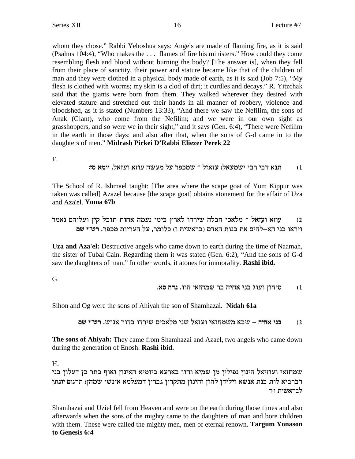whom they chose." Rabbi Yehoshua says: Angels are made of flaming fire, as it is said (Psalms 104:4), "Who makes the ... flames of fire his ministers." How could they come resembling flesh and blood without burning the body? [The answer is], when they fell from their place of sanctity, their power and stature became like that of the children of man and they were clothed in a physical body made of earth, as it is said (Job 7:5), "My flesh is clothed with worms; my skin is a clod of dirt; it curdles and decays." R. Yitzchak said that the giants were born from them. They walked wherever they desired with elevated stature and stretched out their hands in all manner of robbery, violence and bloodshed, as it is stated (Numbers 13:33), "And there we saw the Nefilim, the sons of Anak (Giant), who come from the Nefilim; and we were in our own sight as grasshoppers, and so were we in their sight," and it says (Gen. 6:4), "There were Nefilim in the earth in those days; and also after that, when the sons of G-d came in to the daughters of men." Midrash Pirkei D'Rabbi Eliezer Perek 22

F.

תנא דבי רבי ישמעאל: עזאזל ־ שמכפר על מעשה עוזא ועזאל. יומא סז:  $(1)$ 

The School of R. Ishmael taught: [The area where the scape goat of Yom Kippur was taken was called] Azazel because [the scape goat] obtains atonement for the affair of Uza and Aza'el. Yoma 67b

```
עוזא ועזאל ־ מלאכי חבלה שירדו לארץ בימי נעמה אחות תובל קין ועליהם נאמר
                                                                (2)ויראו בני הא–להים את בנות האדם (בראשית ו) כלומר, על העריות מכפר. רש״י שם
```
Uza and Aza'el: Destructive angels who came down to earth during the time of Naamah, the sister of Tubal Cain. Regarding them it was stated (Gen. 6:2), "And the sons of G-d saw the daughters of man." In other words, it atones for immorality. Rashi ibid.

G.

#### סיחון ועוג בני אחיה בר שמחזאי הוו. נדה סא.  $(1)$

Sihon and Og were the sons of Ahiyah the son of Shamhazai. Nidah 61a

בני אחיה – שבא משמחזאי ועזאל שני מלאכים שירדו בדור אנוש. רש״י שם  $(2)$ 

The sons of Ahiyah: They came from Shamhazai and Azael, two angels who came down during the generation of Enosh. Rashi ibid.

Н.

שמחזאי ועוזיאל הינון נפילין מן שמיא והוו בארעא ביומיא האינון ואוף בתר כן דעלון בני רברביא לות בנת אנשא וילידן להון והינון מתקרין גברין דמעלמא אינשי שמהן: תרגום יונתן לבראשית ו:ד

Shamhazai and Uziel fell from Heaven and were on the earth during those times and also afterwards when the sons of the mighty came to the daughters of man and bore children with them. These were called the mighty men, men of eternal renown. Targum Yonason to Genesis 6:4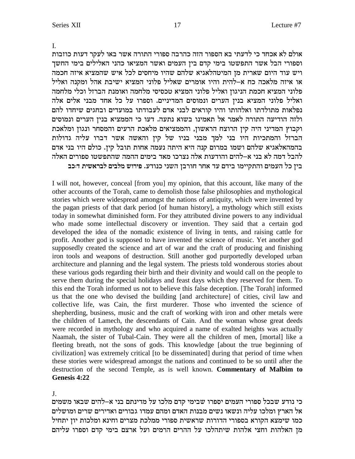$\overline{L}$ 

אולם לא אכחד כי לדעתי בא הספור הזה כהרבה ספורי התורה אשר באו לעקר דעות כוזבות וספורי הבל אשר התפשטו בימי קדם בין העמים ואשר המציאו כהני האלילים בימי החשך ויש עוד היום שארית מן המיטהלאגיא שלהם שהיו מיחסים לכל איש שהמציא איזה חכמה או איזה מלאכה כח א–להית והיו אומרים שאליל פלוני המציא ישיבת אהל ומקנה ואליל פלוני המציא חכמת הניגון ואליל פלוני המציא טכסיסי מלחמה ואומנת הברזל וכלי מלחמה ואליל פלוני המציא בנין הערים ונמוסים המדיניים. וספרו על כל אחד מבני אלים אלה נפלאות מתולדתו ואלהותו והיו קוראים לבני אדם לעבודתו במועדים ובחגים שיחדו להם ולזה הודיעה התורה לאמר אל תאמינו בשוא נתעה. דעו כי הממציא בנין הערים ונמוסים וקבוץ המדיני היה קין הרוצח הראשון, והממציאים מלאכת הרעים והמסחר ונגון ומלאכת הברזל והמתכיות היו בני למך מבני בניו של קין והאשה אשר דברו עליה גדולות בהמהאלאגיא שלהם ושמו במרום קנה היא היתה נעמה אחות תובל קיז. כולם היו בני אדם להבל דמה לא בני א–להים והודעות אלה נצרכו מאד בימים ההמה שהתפשטו ספורים האלה ביז כל העמים והתקיימו בידם עד אחר חורבז השני כנודע. פירוש מלבים לבראשית דוכב

I will not, however, conceal [from you] my opinion, that this account, like many of the other accounts of the Torah, came to demolish those false philosophies and mythological stories which were widespread amongst the nations of antiquity, which were invented by the pagan priests of that dark period [of human history], a mythology which still exists today in somewhat diminished form. For they attributed divine powers to any individual who made some intellectual discovery or invention. They said that a certain god developed the idea of the nomadic existence of living in tents, and raising cattle for profit. Another god is supposed to have invented the science of music. Yet another god supposedly created the science and art of war and the craft of producing and finishing iron tools and weapons of destruction. Still another god purportedly developed urban architecture and planning and the legal system. The priests told wonderous stories about these various gods regarding their birth and their divinity and would call on the people to serve them during the special holidays and feast days which they reserved for them. To this end the Torah informed us not to believe this false deception. [The Torah] informed us that the one who devised the building [and architecture] of cities, civil law and collective life, was Cain, the first murderer. Those who invented the science of shepherding, business, music and the craft of working with iron and other metals were the children of Lamech, the descendants of Cain. And the woman whose great deeds were recorded in mythology and who acquired a name of exalted heights was actually Naamah, the sister of Tubal-Cain. They were all the children of men, [mortal] like a fleeting breath, not the sons of gods. This knowledge [about the true beginning of civilization] was extremely critical [to be disseminated] during that period of time when these stories were widespread amongst the nations and continued to be so until after the destruction of the second Temple, as is well known. Commentary of Malbim to Genesis 4:22

 $\mathbf{J}$ .

כי נודע שבכל ספורי העמים יספרו שבימי קדם מלכו על מדינתם בני א–להים שבאו משמים אל הארץ ומלכו עליה ונשאו נשים מבנות האדם ומהם עמדו גבורים ואדירים שרים ומושלים כמו שימצא הקורא בספורי הדורות שראשית ספורי ממלכת מצרים וחינא ומלכות יון יתחיל מן האלהות וחצי אלהות שיתהלכו על ההרים הרמים ועל ארצם בימי קדם וספרו עליהם